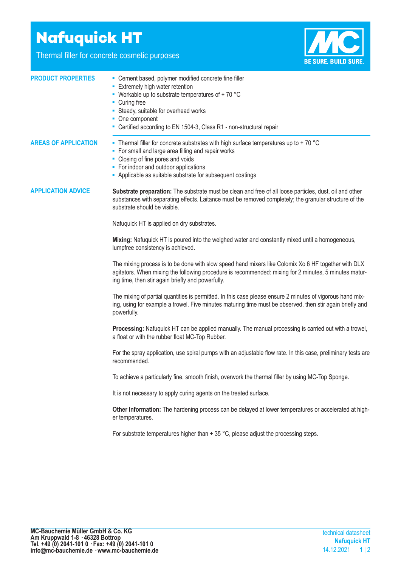## **Nafuquick HT**

Thermal filler for concrete cosmetic purposes



| <b>PRODUCT PROPERTIES</b>   | - Cement based, polymer modified concrete fine filler<br><b>Extremely high water retention</b><br>• Workable up to substrate temperatures of $+70$ °C<br>• Curing free<br>• Steady, suitable for overhead works<br>• One component<br>- Certified according to EN 1504-3, Class R1 - non-structural repair |
|-----------------------------|------------------------------------------------------------------------------------------------------------------------------------------------------------------------------------------------------------------------------------------------------------------------------------------------------------|
| <b>AREAS OF APPLICATION</b> | • Thermal filler for concrete substrates with high surface temperatures up to + 70 $^{\circ}$ C<br>• For small and large area filling and repair works<br>• Closing of fine pores and voids<br>• For indoor and outdoor applications<br>- Applicable as suitable substrate for subsequent coatings         |
| <b>APPLICATION ADVICE</b>   | Substrate preparation: The substrate must be clean and free of all loose particles, dust, oil and other<br>substances with separating effects. Laitance must be removed completely; the granular structure of the<br>substrate should be visible.<br>Nafuquick HT is applied on dry substrates.            |
|                             | Mixing: Nafuquick HT is poured into the weighed water and constantly mixed until a homogeneous,<br>lumpfree consistency is achieved.                                                                                                                                                                       |
|                             | The mixing process is to be done with slow speed hand mixers like Colomix Xo 6 HF together with DLX<br>agitators. When mixing the following procedure is recommended: mixing for 2 minutes, 5 minutes matur-<br>ing time, then stir again briefly and powerfully.                                          |
|                             | The mixing of partial quantities is permitted. In this case please ensure 2 minutes of vigorous hand mix-<br>ing, using for example a trowel. Five minutes maturing time must be observed, then stir again briefly and<br>powerfully.                                                                      |
|                             | Processing: Nafuquick HT can be applied manually. The manual processing is carried out with a trowel,<br>a float or with the rubber float MC-Top Rubber.                                                                                                                                                   |
|                             | For the spray application, use spiral pumps with an adjustable flow rate. In this case, preliminary tests are<br>recommended.                                                                                                                                                                              |
|                             | To achieve a particularly fine, smooth finish, overwork the thermal filler by using MC-Top Sponge.                                                                                                                                                                                                         |
|                             | It is not necessary to apply curing agents on the treated surface.                                                                                                                                                                                                                                         |
|                             | Other Information: The hardening process can be delayed at lower temperatures or accelerated at high-<br>er temperatures.                                                                                                                                                                                  |
|                             | For substrate temperatures higher than $+35$ °C, please adjust the processing steps.                                                                                                                                                                                                                       |
|                             |                                                                                                                                                                                                                                                                                                            |